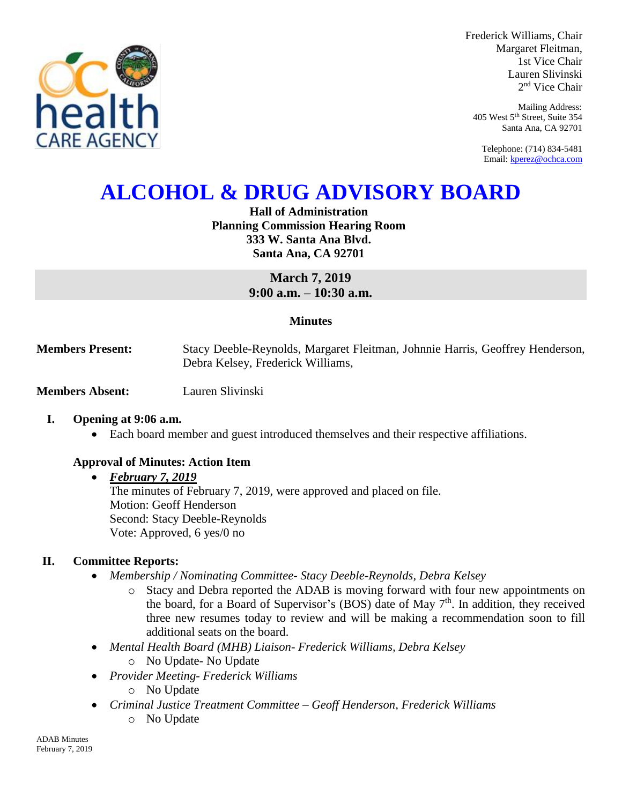

Frederick Williams, Chair Margaret Fleitman, 1st Vice Chair Lauren Slivinski 2 nd Vice Chair

Mailing Address: 405 West 5th Street, Suite 354 Santa Ana, CA 92701

Telephone: (714) 834-5481 Email[: kperez@ochca.com](mailto:kperez@ochca.com)

# **ALCOHOL & DRUG ADVISORY BOARD**

**Hall of Administration Planning Commission Hearing Room 333 W. Santa Ana Blvd. Santa Ana, CA 92701**

> **March 7, 2019 9:00 a.m. – 10:30 a.m.**

## **Minutes**

**Members Present:** Stacy Deeble-Reynolds, Margaret Fleitman, Johnnie Harris, Geoffrey Henderson, Debra Kelsey, Frederick Williams,

**Members Absent:** Lauren Slivinski

## **I. Opening at 9:06 a.m.**

Each board member and guest introduced themselves and their respective affiliations.

# **Approval of Minutes: Action Item**

## *February 7, 2019*

The minutes of February 7, 2019, were approved and placed on file. Motion: Geoff Henderson Second: Stacy Deeble-Reynolds Vote: Approved, 6 yes/0 no

# **II. Committee Reports:**

- *Membership / Nominating Committee- Stacy Deeble-Reynolds, Debra Kelsey* 
	- o Stacy and Debra reported the ADAB is moving forward with four new appointments on the board, for a Board of Supervisor's (BOS) date of May  $7<sup>th</sup>$ . In addition, they received three new resumes today to review and will be making a recommendation soon to fill additional seats on the board.
- *Mental Health Board (MHB) Liaison- Frederick Williams, Debra Kelsey* 
	- o No Update- No Update
- *Provider Meeting- Frederick Williams*
	- o No Update
- *Criminal Justice Treatment Committee – Geoff Henderson, Frederick Williams* o No Update

ADAB Minutes February 7, 2019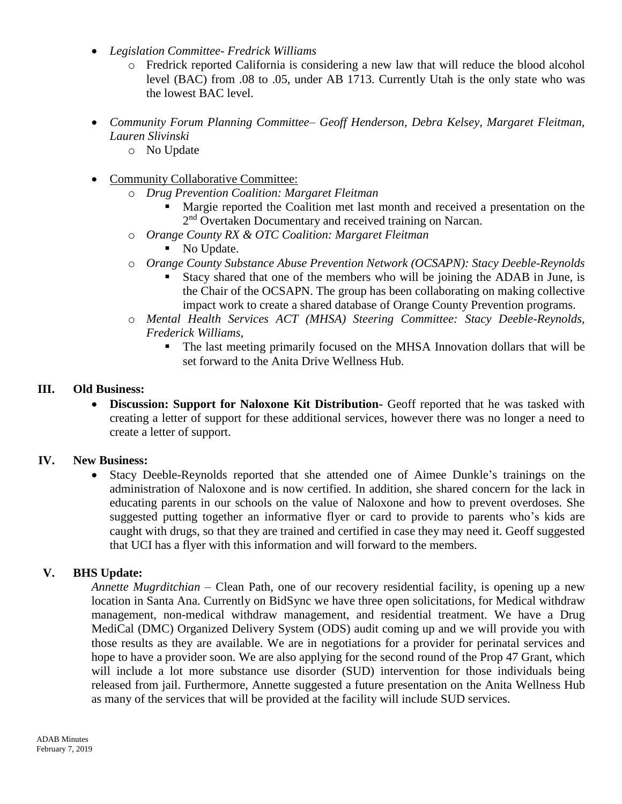- *Legislation Committee- Fredrick Williams*
	- o Fredrick reported California is considering a new law that will reduce the blood alcohol level (BAC) from .08 to .05, under AB 1713. Currently Utah is the only state who was the lowest BAC level.
- *Community Forum Planning Committee– Geoff Henderson, Debra Kelsey, Margaret Fleitman, Lauren Slivinski*
	- o No Update
- Community Collaborative Committee:
	- o *Drug Prevention Coalition: Margaret Fleitman*
		- Margie reported the Coalition met last month and received a presentation on the 2<sup>nd</sup> Overtaken Documentary and received training on Narcan.
	- o *Orange County RX & OTC Coalition: Margaret Fleitman*
		- No Update.
	- o *Orange County Substance Abuse Prevention Network (OCSAPN): Stacy Deeble-Reynolds*
		- Stacy shared that one of the members who will be joining the ADAB in June, is the Chair of the OCSAPN. The group has been collaborating on making collective impact work to create a shared database of Orange County Prevention programs.
	- o *Mental Health Services ACT (MHSA) Steering Committee: Stacy Deeble-Reynolds, Frederick Williams,* 
		- The last meeting primarily focused on the MHSA Innovation dollars that will be set forward to the Anita Drive Wellness Hub.

## **III. Old Business:**

 **Discussion: Support for Naloxone Kit Distribution-** Geoff reported that he was tasked with creating a letter of support for these additional services, however there was no longer a need to create a letter of support.

# **IV. New Business:**

 Stacy Deeble-Reynolds reported that she attended one of Aimee Dunkle's trainings on the administration of Naloxone and is now certified. In addition, she shared concern for the lack in educating parents in our schools on the value of Naloxone and how to prevent overdoses. She suggested putting together an informative flyer or card to provide to parents who's kids are caught with drugs, so that they are trained and certified in case they may need it. Geoff suggested that UCI has a flyer with this information and will forward to the members.

# **V. BHS Update:**

*Annette Mugrditchian –* Clean Path, one of our recovery residential facility, is opening up a new location in Santa Ana. Currently on BidSync we have three open solicitations, for Medical withdraw management, non-medical withdraw management, and residential treatment. We have a Drug MediCal (DMC) Organized Delivery System (ODS) audit coming up and we will provide you with those results as they are available. We are in negotiations for a provider for perinatal services and hope to have a provider soon. We are also applying for the second round of the Prop 47 Grant, which will include a lot more substance use disorder (SUD) intervention for those individuals being released from jail. Furthermore, Annette suggested a future presentation on the Anita Wellness Hub as many of the services that will be provided at the facility will include SUD services.